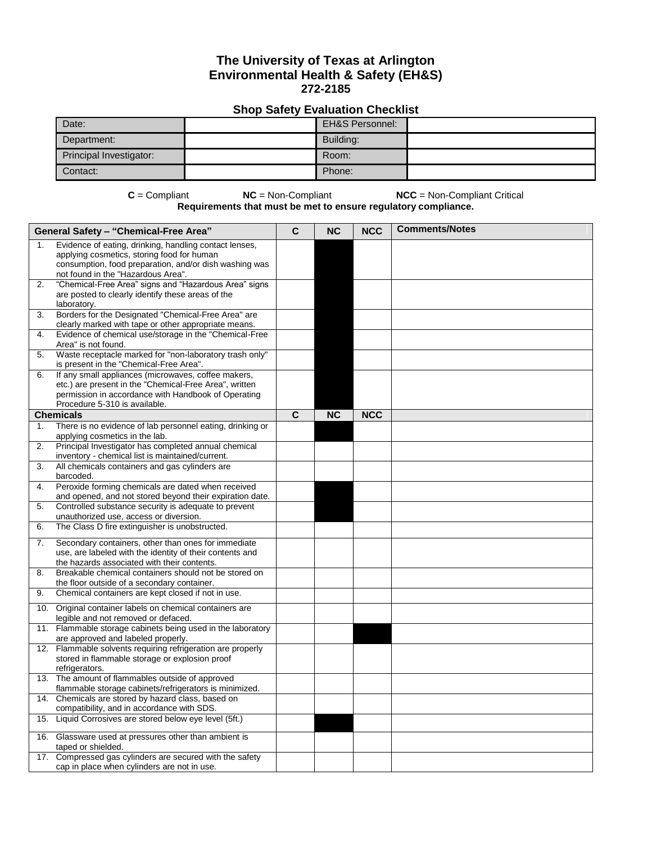## **The University of Texas at Arlington Environmental Health & Safety (EH&S) 272-2185**

## **Shop Safety Evaluation Checklist**

| Date:                   | <b>EH&amp;S Personnel:</b> |  |
|-------------------------|----------------------------|--|
| Department:             | Building:                  |  |
| Principal Investigator: | Room:                      |  |
| Contact:                | Phone:                     |  |

**C** = Compliant **NC** = Non-Compliant **NCC** = Non-Compliant Critical **Requirements that must be met to ensure regulatory compliance.**

|     | <b>General Safety - "Chemical-Free Area"</b>                                                                                                                   | C | <b>NC</b> | <b>NCC</b> | <b>Comments/Notes</b> |
|-----|----------------------------------------------------------------------------------------------------------------------------------------------------------------|---|-----------|------------|-----------------------|
| 1.  | Evidence of eating, drinking, handling contact lenses,<br>applying cosmetics, storing food for human<br>consumption, food preparation, and/or dish washing was |   |           |            |                       |
| 2.  | not found in the "Hazardous Area".<br>"Chemical-Free Area" signs and "Hazardous Area" signs<br>are posted to clearly identify these areas of the               |   |           |            |                       |
| 3.  | laboratory.<br>Borders for the Designated "Chemical-Free Area" are                                                                                             |   |           |            |                       |
| 4.  | clearly marked with tape or other appropriate means.<br>Evidence of chemical use/storage in the "Chemical-Free                                                 |   |           |            |                       |
| 5.  | Area" is not found.<br>Waste receptacle marked for "non-laboratory trash only"                                                                                 |   |           |            |                       |
| 6.  | is present in the "Chemical-Free Area".<br>If any small appliances (microwaves, coffee makers,                                                                 |   |           |            |                       |
|     | etc.) are present in the "Chemical-Free Area", written<br>permission in accordance with Handbook of Operating<br>Procedure 5-310 is available.                 |   |           |            |                       |
|     | <b>Chemicals</b>                                                                                                                                               | C | <b>NC</b> | <b>NCC</b> |                       |
| 1.  | There is no evidence of lab personnel eating, drinking or<br>applying cosmetics in the lab.                                                                    |   |           |            |                       |
| 2.  | Principal Investigator has completed annual chemical<br>inventory - chemical list is maintained/current.                                                       |   |           |            |                       |
| 3.  | All chemicals containers and gas cylinders are<br>barcoded.                                                                                                    |   |           |            |                       |
| 4.  | Peroxide forming chemicals are dated when received                                                                                                             |   |           |            |                       |
|     | and opened, and not stored beyond their expiration date.                                                                                                       |   |           |            |                       |
| 5.  | Controlled substance security is adequate to prevent<br>unauthorized use, access or diversion.                                                                 |   |           |            |                       |
| 6.  | The Class D fire extinguisher is unobstructed.                                                                                                                 |   |           |            |                       |
| 7.  | Secondary containers, other than ones for immediate<br>use, are labeled with the identity of their contents and<br>the hazards associated with their contents. |   |           |            |                       |
| 8.  | Breakable chemical containers should not be stored on<br>the floor outside of a secondary container.                                                           |   |           |            |                       |
| 9.  | Chemical containers are kept closed if not in use.                                                                                                             |   |           |            |                       |
| 10. | Original container labels on chemical containers are<br>legible and not removed or defaced.                                                                    |   |           |            |                       |
|     | 11. Flammable storage cabinets being used in the laboratory<br>are approved and labeled properly.                                                              |   |           |            |                       |
|     | 12. Flammable solvents requiring refrigeration are properly<br>stored in flammable storage or explosion proof<br>refrigerators.                                |   |           |            |                       |
|     | 13. The amount of flammables outside of approved<br>flammable storage cabinets/refrigerators is minimized.                                                     |   |           |            |                       |
| 14. | Chemicals are stored by hazard class, based on<br>compatibility, and in accordance with SDS.                                                                   |   |           |            |                       |
|     | 15. Liquid Corrosives are stored below eye level (5ft.)                                                                                                        |   |           |            |                       |
|     | 16. Glassware used at pressures other than ambient is<br>taped or shielded.                                                                                    |   |           |            |                       |
| 17. | Compressed gas cylinders are secured with the safety<br>cap in place when cylinders are not in use.                                                            |   |           |            |                       |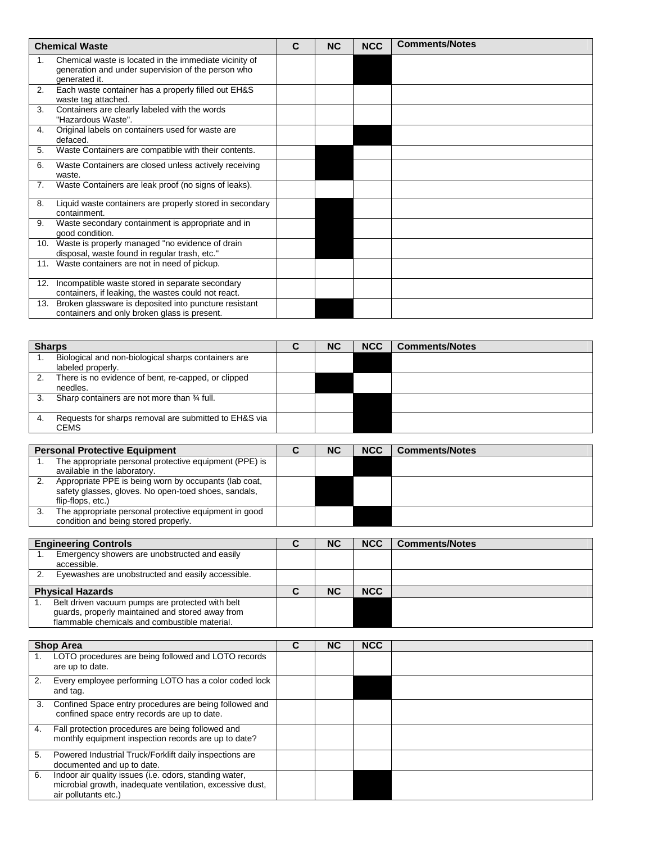|     | <b>Chemical Waste</b>                                                                                                         | C | <b>NC</b> | <b>NCC</b> | <b>Comments/Notes</b> |
|-----|-------------------------------------------------------------------------------------------------------------------------------|---|-----------|------------|-----------------------|
| 1.  | Chemical waste is located in the immediate vicinity of<br>generation and under supervision of the person who<br>generated it. |   |           |            |                       |
| 2.  | Each waste container has a properly filled out EH&S<br>waste tag attached.                                                    |   |           |            |                       |
| 3.  | Containers are clearly labeled with the words<br>"Hazardous Waste".                                                           |   |           |            |                       |
| 4.  | Original labels on containers used for waste are<br>defaced.                                                                  |   |           |            |                       |
| 5.  | Waste Containers are compatible with their contents.                                                                          |   |           |            |                       |
| 6.  | Waste Containers are closed unless actively receiving<br>waste.                                                               |   |           |            |                       |
| 7.  | Waste Containers are leak proof (no signs of leaks).                                                                          |   |           |            |                       |
| 8.  | Liquid waste containers are properly stored in secondary<br>containment.                                                      |   |           |            |                       |
| 9.  | Waste secondary containment is appropriate and in<br>good condition.                                                          |   |           |            |                       |
|     | 10. Waste is properly managed "no evidence of drain<br>disposal, waste found in regular trash, etc."                          |   |           |            |                       |
|     | 11. Waste containers are not in need of pickup.                                                                               |   |           |            |                       |
| 12. | Incompatible waste stored in separate secondary<br>containers, if leaking, the wastes could not react.                        |   |           |            |                       |
| 13. | Broken glassware is deposited into puncture resistant<br>containers and only broken glass is present.                         |   |           |            |                       |
|     |                                                                                                                               |   |           |            |                       |

| <b>Sharps</b>                                                              |  | <b>NC</b> | <b>NCC</b> | <b>Comments/Notes</b> |
|----------------------------------------------------------------------------|--|-----------|------------|-----------------------|
| Biological and non-biological sharps containers are<br>labeled properly.   |  |           |            |                       |
| There is no evidence of bent, re-capped, or clipped<br>2.<br>needles.      |  |           |            |                       |
| Sharp containers are not more than 34 full.<br>3.                          |  |           |            |                       |
| Requests for sharps removal are submitted to EH&S via<br>4.<br><b>CEMS</b> |  |           |            |                       |
|                                                                            |  |           |            |                       |

| <b>Personal Protective Equipment</b>                                                                                               | <b>NC</b> | <b>NCC</b> | <b>Comments/Notes</b> |
|------------------------------------------------------------------------------------------------------------------------------------|-----------|------------|-----------------------|
| The appropriate personal protective equipment (PPE) is<br>available in the laboratory.                                             |           |            |                       |
| Appropriate PPE is being worn by occupants (lab coat,<br>safety glasses, gloves. No open-toed shoes, sandals,<br>flip-flops, etc.) |           |            |                       |
| The appropriate personal protective equipment in good<br>condition and being stored properly.                                      |           |            |                       |

| <b>Engineering Controls</b>                                                                                                                           | <b>NC</b> | <b>NCC</b> | <b>Comments/Notes</b> |
|-------------------------------------------------------------------------------------------------------------------------------------------------------|-----------|------------|-----------------------|
| Emergency showers are unobstructed and easily<br>accessible.                                                                                          |           |            |                       |
| Eyewashes are unobstructed and easily accessible.                                                                                                     |           |            |                       |
| <b>Physical Hazards</b>                                                                                                                               | <b>NC</b> | <b>NCC</b> |                       |
| Belt driven vacuum pumps are protected with belt<br>quards, properly maintained and stored away from<br>flammable chemicals and combustible material. |           |            |                       |

|    | <b>Shop Area</b>                                                                                                                            | C | <b>NC</b> | <b>NCC</b> |  |
|----|---------------------------------------------------------------------------------------------------------------------------------------------|---|-----------|------------|--|
|    | LOTO procedures are being followed and LOTO records<br>are up to date.                                                                      |   |           |            |  |
| 2. | Every employee performing LOTO has a color coded lock<br>and tag.                                                                           |   |           |            |  |
| 3. | Confined Space entry procedures are being followed and<br>confined space entry records are up to date.                                      |   |           |            |  |
| 4. | Fall protection procedures are being followed and<br>monthly equipment inspection records are up to date?                                   |   |           |            |  |
| 5. | Powered Industrial Truck/Forklift daily inspections are<br>documented and up to date.                                                       |   |           |            |  |
| 6. | Indoor air quality issues (i.e. odors, standing water,<br>microbial growth, inadequate ventilation, excessive dust,<br>air pollutants etc.) |   |           |            |  |